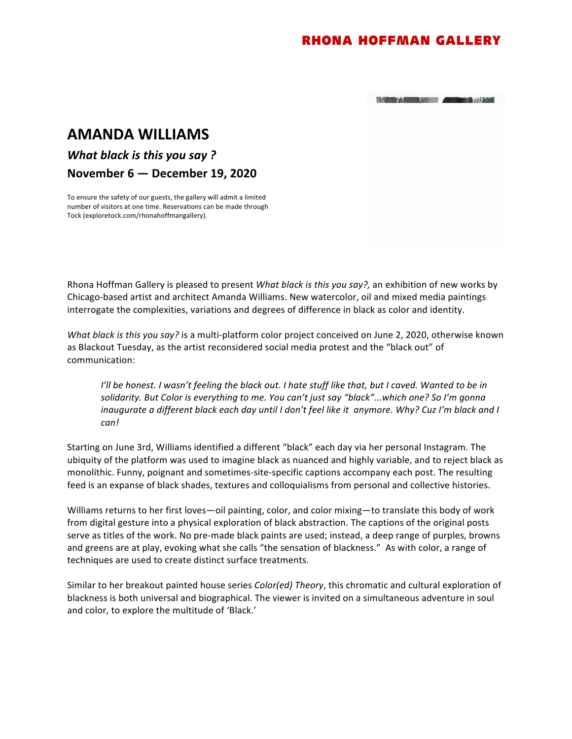## **AMANDA WILLIAMS**

*What black is this you say?* 

**November 6 — December 19, 2020** 

To ensure the safety of our guests, the gallery will admit a limited number of visitors at one time. Reservations can be made through Tock (exploretock.com/rhonahoffmangallery).

Rhona Hoffman Gallery is pleased to present *What black is this you say?*, an exhibition of new works by Chicago-based artist and architect Amanda Williams. New watercolor, oil and mixed media paintings interrogate the complexities, variations and degrees of difference in black as color and identity.

*What black is this you say?* is a multi-platform color project conceived on June 2, 2020, otherwise known as Blackout Tuesday, as the artist reconsidered social media protest and the "black out" of communication: 

*I'll* be honest. I wasn't feeling the black out. I hate stuff like that, but I caved. Wanted to be in solidarity. But Color is everything to me. You can't just say "black"...which one? So I'm gonna *inaugurate a different black each day until I don't feel like it anymore. Why? Cuz I'm black and I can!* 

Starting on June 3rd, Williams identified a different "black" each day via her personal Instagram. The ubiquity of the platform was used to imagine black as nuanced and highly variable, and to reject black as monolithic. Funny, poignant and sometimes-site-specific captions accompany each post. The resulting feed is an expanse of black shades, textures and colloquialisms from personal and collective histories.

Williams returns to her first loves—oil painting, color, and color mixing—to translate this body of work from digital gesture into a physical exploration of black abstraction. The captions of the original posts serve as titles of the work. No pre-made black paints are used; instead, a deep range of purples, browns and greens are at play, evoking what she calls "the sensation of blackness." As with color, a range of techniques are used to create distinct surface treatments.

Similar to her breakout painted house series *Color(ed)* Theory, this chromatic and cultural exploration of blackness is both universal and biographical. The viewer is invited on a simultaneous adventure in soul and color, to explore the multitude of 'Black.'